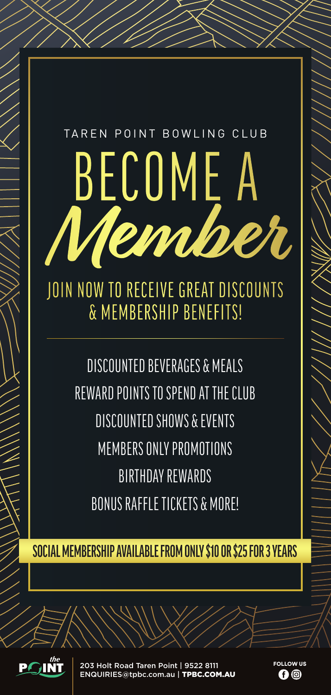## BECOME A **Member** TAREN POINT BOWLING CLUB JOIN NOW TO RECEIVE GREAT DISCOUNTS

& MEMBERSHIP BENEFITS!

DISCOUNTED BEVERAGES & MEALS REWARD POINTS TO SPEND AT THE CLUB DISCOUNTED SHOWS & EVENTS MEMBERS ONLY PROMOTIONS BIRTHDAY REWARDS BONUS RAFFLE TICKETS & MORE!

**SOCIAL MEMBERSHIP AVAILABLE FROM ONLY \$10 OR \$25 FOR 3 YEARS**



203 Holt Road Taren Point | 9522 8111 ENQUIRIES@tpbc.com.au | TPBC.COM.AU FOLLOW US n o